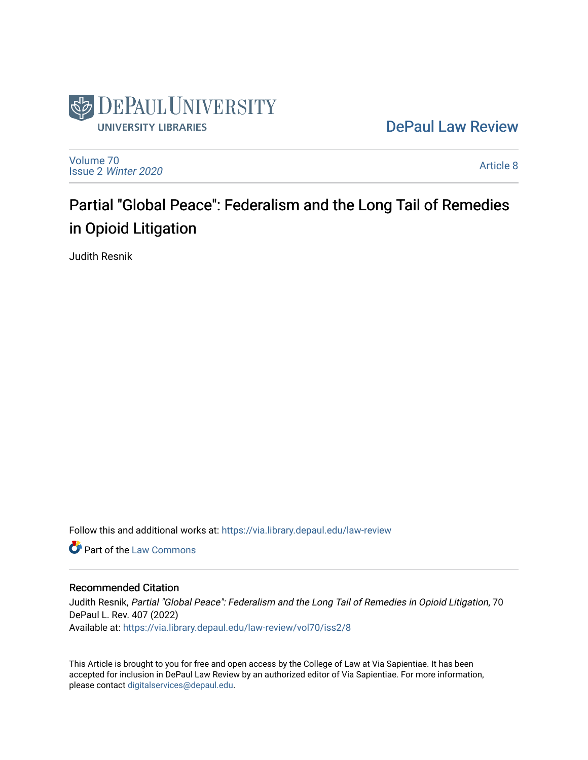

## [DePaul Law Review](https://via.library.depaul.edu/law-review)

[Volume 70](https://via.library.depaul.edu/law-review/vol70) Issue 2 [Winter 2020](https://via.library.depaul.edu/law-review/vol70/iss2) 

[Article 8](https://via.library.depaul.edu/law-review/vol70/iss2/8) 

# Partial "Global Peace": Federalism and the Long Tail of Remedies in Opioid Litigation

Judith Resnik

Follow this and additional works at: [https://via.library.depaul.edu/law-review](https://via.library.depaul.edu/law-review?utm_source=via.library.depaul.edu%2Flaw-review%2Fvol70%2Fiss2%2F8&utm_medium=PDF&utm_campaign=PDFCoverPages) 

**C** Part of the [Law Commons](http://network.bepress.com/hgg/discipline/578?utm_source=via.library.depaul.edu%2Flaw-review%2Fvol70%2Fiss2%2F8&utm_medium=PDF&utm_campaign=PDFCoverPages)

#### Recommended Citation

Judith Resnik, Partial "Global Peace": Federalism and the Long Tail of Remedies in Opioid Litigation, 70 DePaul L. Rev. 407 (2022) Available at: [https://via.library.depaul.edu/law-review/vol70/iss2/8](https://via.library.depaul.edu/law-review/vol70/iss2/8?utm_source=via.library.depaul.edu%2Flaw-review%2Fvol70%2Fiss2%2F8&utm_medium=PDF&utm_campaign=PDFCoverPages) 

This Article is brought to you for free and open access by the College of Law at Via Sapientiae. It has been accepted for inclusion in DePaul Law Review by an authorized editor of Via Sapientiae. For more information, please contact [digitalservices@depaul.edu.](mailto:digitalservices@depaul.edu)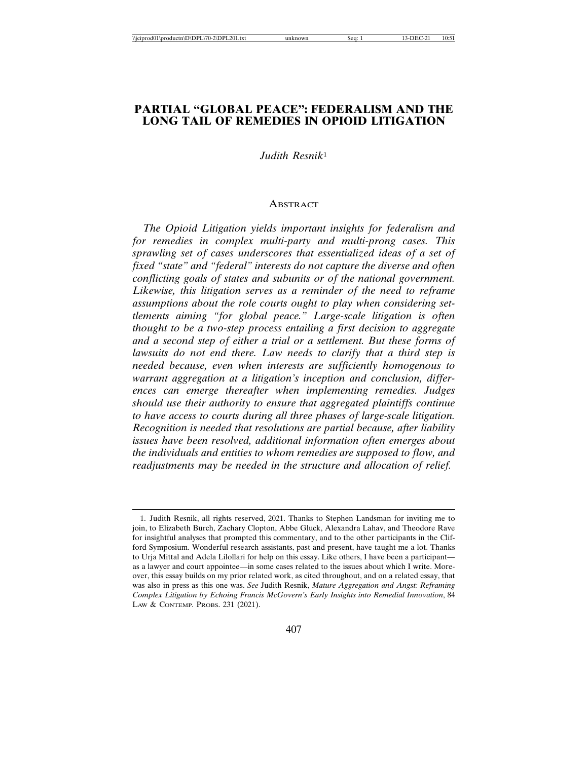### **PARTIAL "GLOBAL PEACE": FEDERALISM AND THE LONG TAIL OF REMEDIES IN OPIOID LITIGATION**

*Judith Resnik*<sup>1</sup>

#### ABSTRACT

*The Opioid Litigation yields important insights for federalism and for remedies in complex multi-party and multi-prong cases. This sprawling set of cases underscores that essentialized ideas of a set of fixed "state" and "federal" interests do not capture the diverse and often conflicting goals of states and subunits or of the national government. Likewise, this litigation serves as a reminder of the need to reframe assumptions about the role courts ought to play when considering settlements aiming "for global peace." Large-scale litigation is often thought to be a two-step process entailing a first decision to aggregate and a second step of either a trial or a settlement. But these forms of lawsuits do not end there. Law needs to clarify that a third step is needed because, even when interests are sufficiently homogenous to warrant aggregation at a litigation's inception and conclusion, differences can emerge thereafter when implementing remedies. Judges should use their authority to ensure that aggregated plaintiffs continue to have access to courts during all three phases of large-scale litigation. Recognition is needed that resolutions are partial because, after liability issues have been resolved, additional information often emerges about the individuals and entities to whom remedies are supposed to flow, and readjustments may be needed in the structure and allocation of relief.*

<sup>1.</sup> Judith Resnik, all rights reserved, 2021. Thanks to Stephen Landsman for inviting me to join, to Elizabeth Burch, Zachary Clopton, Abbe Gluck, Alexandra Lahav, and Theodore Rave for insightful analyses that prompted this commentary, and to the other participants in the Clifford Symposium. Wonderful research assistants, past and present, have taught me a lot. Thanks to Urja Mittal and Adela Lilollari for help on this essay. Like others, I have been a participant as a lawyer and court appointee—in some cases related to the issues about which I write. Moreover, this essay builds on my prior related work, as cited throughout, and on a related essay, that was also in press as this one was. *See* Judith Resnik, *Mature Aggregation and Angst: Reframing Complex Litigation by Echoing Francis McGovern's Early Insights into Remedial Innovation*, 84 LAW & CONTEMP. PROBS. 231 (2021).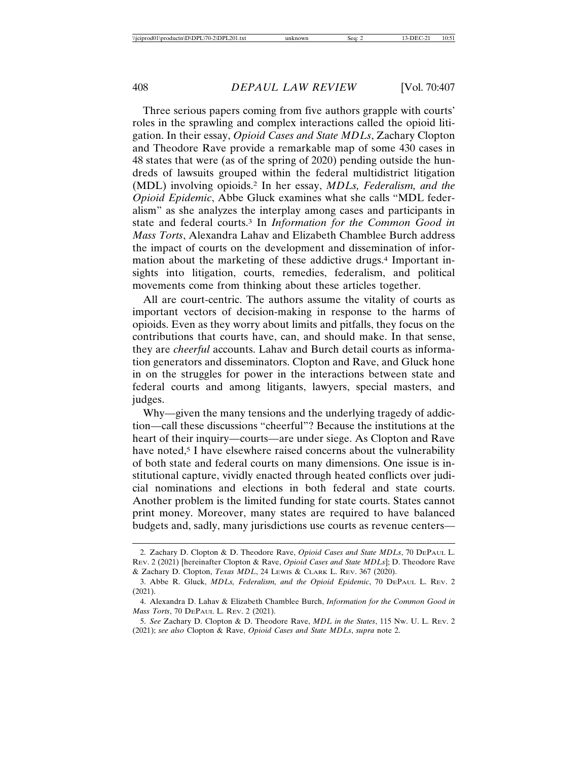Three serious papers coming from five authors grapple with courts' roles in the sprawling and complex interactions called the opioid litigation. In their essay, *Opioid Cases and State MDLs*, Zachary Clopton and Theodore Rave provide a remarkable map of some 430 cases in 48 states that were (as of the spring of 2020) pending outside the hundreds of lawsuits grouped within the federal multidistrict litigation (MDL) involving opioids.2 In her essay, *MDLs, Federalism, and the Opioid Epidemic*, Abbe Gluck examines what she calls "MDL federalism" as she analyzes the interplay among cases and participants in state and federal courts.3 In *Information for the Common Good in Mass Torts*, Alexandra Lahav and Elizabeth Chamblee Burch address the impact of courts on the development and dissemination of information about the marketing of these addictive drugs.<sup>4</sup> Important insights into litigation, courts, remedies, federalism, and political movements come from thinking about these articles together.

All are court-centric. The authors assume the vitality of courts as important vectors of decision-making in response to the harms of opioids. Even as they worry about limits and pitfalls, they focus on the contributions that courts have, can, and should make. In that sense, they are *cheerful* accounts. Lahav and Burch detail courts as information generators and disseminators. Clopton and Rave, and Gluck hone in on the struggles for power in the interactions between state and federal courts and among litigants, lawyers, special masters, and judges.

Why—given the many tensions and the underlying tragedy of addiction—call these discussions "cheerful"? Because the institutions at the heart of their inquiry—courts—are under siege. As Clopton and Rave have noted,<sup>5</sup> I have elsewhere raised concerns about the vulnerability of both state and federal courts on many dimensions. One issue is institutional capture, vividly enacted through heated conflicts over judicial nominations and elections in both federal and state courts. Another problem is the limited funding for state courts. States cannot print money. Moreover, many states are required to have balanced budgets and, sadly, many jurisdictions use courts as revenue centers—

<sup>2.</sup> Zachary D. Clopton & D. Theodore Rave, *Opioid Cases and State MDLs*, 70 DEPAUL L. REV. 2 (2021) [hereinafter Clopton & Rave, *Opioid Cases and State MDLs*]; D. Theodore Rave & Zachary D. Clopton, *Texas MDL*, 24 LEWIS & CLARK L. REV. 367 (2020).

<sup>3.</sup> Abbe R. Gluck, *MDLs, Federalism, and the Opioid Epidemic*, 70 DEPAUL L. REV. 2 (2021).

<sup>4.</sup> Alexandra D. Lahav & Elizabeth Chamblee Burch, *Information for the Common Good in Mass Torts*, 70 DEPAUL L. REV. 2 (2021).

<sup>5.</sup> *See* Zachary D. Clopton & D. Theodore Rave, *MDL in the States*, 115 NW. U. L. REV. 2 (2021); *see also* Clopton & Rave, *Opioid Cases and State MDLs*, *supra* note 2.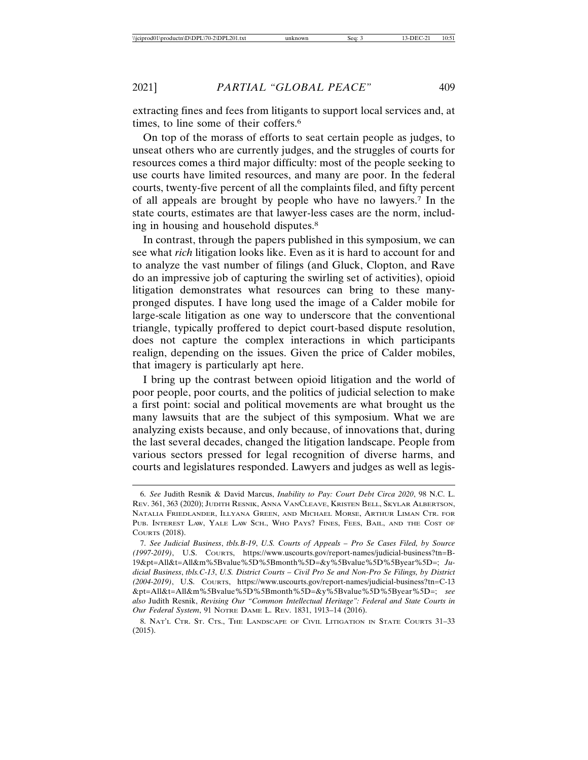extracting fines and fees from litigants to support local services and, at times, to line some of their coffers.<sup>6</sup>

On top of the morass of efforts to seat certain people as judges, to unseat others who are currently judges, and the struggles of courts for resources comes a third major difficulty: most of the people seeking to use courts have limited resources, and many are poor. In the federal courts, twenty-five percent of all the complaints filed, and fifty percent of all appeals are brought by people who have no lawyers.7 In the state courts, estimates are that lawyer-less cases are the norm, including in housing and household disputes.8

In contrast, through the papers published in this symposium, we can see what *rich* litigation looks like. Even as it is hard to account for and to analyze the vast number of filings (and Gluck, Clopton, and Rave do an impressive job of capturing the swirling set of activities), opioid litigation demonstrates what resources can bring to these manypronged disputes. I have long used the image of a Calder mobile for large-scale litigation as one way to underscore that the conventional triangle, typically proffered to depict court-based dispute resolution, does not capture the complex interactions in which participants realign, depending on the issues. Given the price of Calder mobiles, that imagery is particularly apt here.

I bring up the contrast between opioid litigation and the world of poor people, poor courts, and the politics of judicial selection to make a first point: social and political movements are what brought us the many lawsuits that are the subject of this symposium. What we are analyzing exists because, and only because, of innovations that, during the last several decades, changed the litigation landscape. People from various sectors pressed for legal recognition of diverse harms, and courts and legislatures responded. Lawyers and judges as well as legis-

<sup>6.</sup> *See* Judith Resnik & David Marcus, *Inability to Pay: Court Debt Circa 2020*, 98 N.C. L. REV. 361, 363 (2020); JUDITH RESNIK, ANNA VANCLEAVE, KRISTEN BELL, SKYLAR ALBERTSON, NATALIA FRIEDLANDER, ILLYANA GREEN, AND MICHAEL MORSE, ARTHUR LIMAN CTR. FOR PUB. INTEREST LAW, YALE LAW SCH., WHO PAYS? FINES, FEES, BAIL, AND THE COST OF COURTS (2018).

<sup>7.</sup> *See Judicial Business*, *tbls.B-19*, *U.S. Courts of Appeals – Pro Se Cases Filed, by Source (1997-2019)*, U.S. COURTS, https://www.uscourts.gov/report-names/judicial-business?tn=B-19&pt=All&t=All&m%5Bvalue%5D%5Bmonth%5D=&y%5Bvalue%5D%5Byear%5D=; *Judicial Business*, *tbls.C-13*, *U.S. District Courts* – *Civil Pro Se and Non-Pro Se Filings, by District (2004-2019)*, U.S. COURTS, https://www.uscourts.gov/report-names/judicial-business?tn=C-13 &pt=All&t=All&m%5Bvalue%5D%5Bmonth%5D=&y%5Bvalue%5D%5Byear%5D=; *see also* Judith Resnik, *Revising Our "Common Intellectual Heritage": Federal and State Courts in Our Federal System*, 91 NOTRE DAME L. REV. 1831, 1913–14 (2016).

<sup>8.</sup> NAT'L CTR. ST. CTS., THE LANDSCAPE OF CIVIL LITIGATION IN STATE COURTS 31–33 (2015).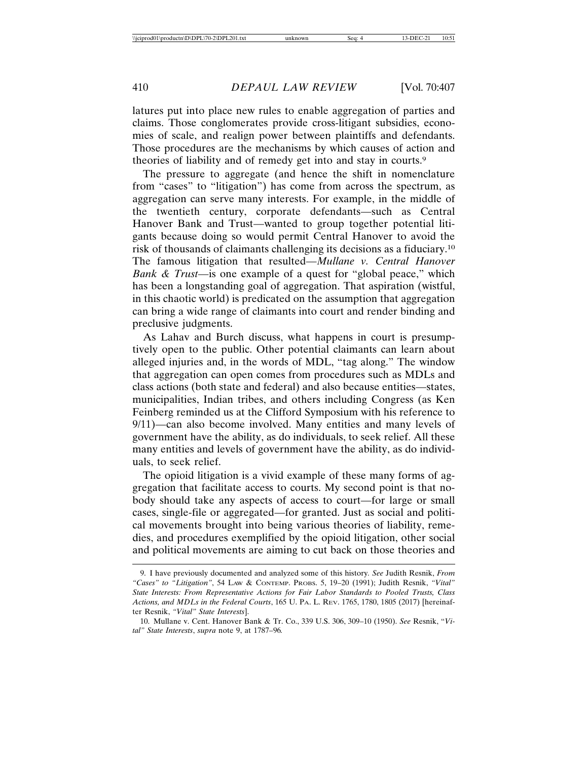latures put into place new rules to enable aggregation of parties and claims. Those conglomerates provide cross-litigant subsidies, economies of scale, and realign power between plaintiffs and defendants. Those procedures are the mechanisms by which causes of action and theories of liability and of remedy get into and stay in courts.9

The pressure to aggregate (and hence the shift in nomenclature from "cases" to "litigation") has come from across the spectrum, as aggregation can serve many interests. For example, in the middle of the twentieth century, corporate defendants—such as Central Hanover Bank and Trust—wanted to group together potential litigants because doing so would permit Central Hanover to avoid the risk of thousands of claimants challenging its decisions as a fiduciary.10 The famous litigation that resulted—*Mullane v. Central Hanover Bank & Trust*—is one example of a quest for "global peace," which has been a longstanding goal of aggregation. That aspiration (wistful, in this chaotic world) is predicated on the assumption that aggregation can bring a wide range of claimants into court and render binding and preclusive judgments.

As Lahav and Burch discuss, what happens in court is presumptively open to the public. Other potential claimants can learn about alleged injuries and, in the words of MDL, "tag along." The window that aggregation can open comes from procedures such as MDLs and class actions (both state and federal) and also because entities—states, municipalities, Indian tribes, and others including Congress (as Ken Feinberg reminded us at the Clifford Symposium with his reference to 9/11)—can also become involved. Many entities and many levels of government have the ability, as do individuals, to seek relief. All these many entities and levels of government have the ability, as do individuals, to seek relief.

The opioid litigation is a vivid example of these many forms of aggregation that facilitate access to courts. My second point is that nobody should take any aspects of access to court—for large or small cases, single-file or aggregated—for granted. Just as social and political movements brought into being various theories of liability, remedies, and procedures exemplified by the opioid litigation, other social and political movements are aiming to cut back on those theories and

<sup>9.</sup> I have previously documented and analyzed some of this history*. See* Judith Resnik, *From "Cases" to "Litigation"*, 54 LAW & CONTEMP. PROBS. 5, 19–20 (1991); Judith Resnik, *"Vital" State Interests: From Representative Actions for Fair Labor Standards to Pooled Trusts, Class Actions, and MDLs in the Federal Courts*, 165 U. PA. L. REV. 1765, 1780, 1805 (2017) [hereinafter Resnik, *"Vital" State Interests*].

<sup>10.</sup> Mullane v. Cent. Hanover Bank & Tr. Co., 339 U.S. 306, 309–10 (1950). *See* Resnik, "*Vital" State Interests*, *supra* note 9, at 1787–96*.*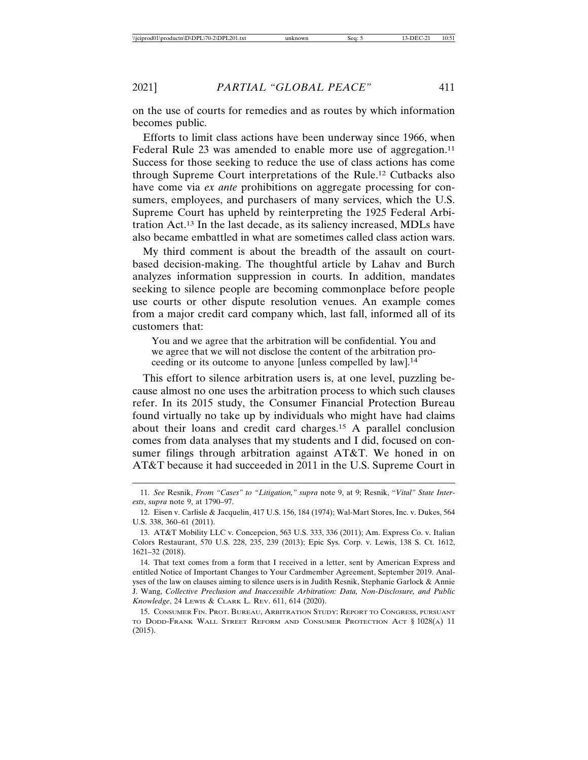on the use of courts for remedies and as routes by which information becomes public.

Efforts to limit class actions have been underway since 1966, when Federal Rule 23 was amended to enable more use of aggregation.<sup>11</sup> Success for those seeking to reduce the use of class actions has come through Supreme Court interpretations of the Rule.12 Cutbacks also have come via *ex ante* prohibitions on aggregate processing for consumers, employees, and purchasers of many services, which the U.S. Supreme Court has upheld by reinterpreting the 1925 Federal Arbitration Act.13 In the last decade, as its saliency increased, MDLs have also became embattled in what are sometimes called class action wars.

My third comment is about the breadth of the assault on courtbased decision-making. The thoughtful article by Lahav and Burch analyzes information suppression in courts. In addition, mandates seeking to silence people are becoming commonplace before people use courts or other dispute resolution venues. An example comes from a major credit card company which, last fall, informed all of its customers that:

You and we agree that the arbitration will be confidential. You and we agree that we will not disclose the content of the arbitration proceeding or its outcome to anyone [unless compelled by law].14

This effort to silence arbitration users is, at one level, puzzling because almost no one uses the arbitration process to which such clauses refer. In its 2015 study, the Consumer Financial Protection Bureau found virtually no take up by individuals who might have had claims about their loans and credit card charges.15 A parallel conclusion comes from data analyses that my students and I did, focused on consumer filings through arbitration against AT&T. We honed in on AT&T because it had succeeded in 2011 in the U.S. Supreme Court in

14. That text comes from a form that I received in a letter, sent by American Express and entitled Notice of Important Changes to Your Cardmember Agreement, September 2019. Analyses of the law on clauses aiming to silence users is in Judith Resnik, Stephanie Garlock & Annie J. Wang, *Collective Preclusion and Inaccessible Arbitration: Data, Non-Disclosure, and Public Knowledge*, 24 LEWIS & CLARK L. REV. 611, 614 (2020).

15. CONSUMER FIN. PROT. BUREAU, ARBITRATION STUDY: REPORT TO CONGRESS, PURSUANT TO DODD-FRANK WALL STREET REFORM AND CONSUMER PROTECTION ACT § 1028(A) 11 (2015).

<sup>11.</sup> *See* Resnik, *From "Cases" to "Litigation," supra* note 9, at 9; Resnik, "*Vital" State Interests*, *supra* note 9, at 1790–97.

<sup>12.</sup> Eisen v. Carlisle & Jacquelin, 417 U.S. 156, 184 (1974); Wal-Mart Stores, Inc. v. Dukes, 564 U.S. 338, 360–61 (2011).

<sup>13.</sup> AT&T Mobility LLC v. Concepcion, 563 U.S. 333, 336 (2011); Am. Express Co. v. Italian Colors Restaurant, 570 U.S. 228, 235, 239 (2013); Epic Sys. Corp. v. Lewis, 138 S. Ct. 1612, 1621–32 (2018).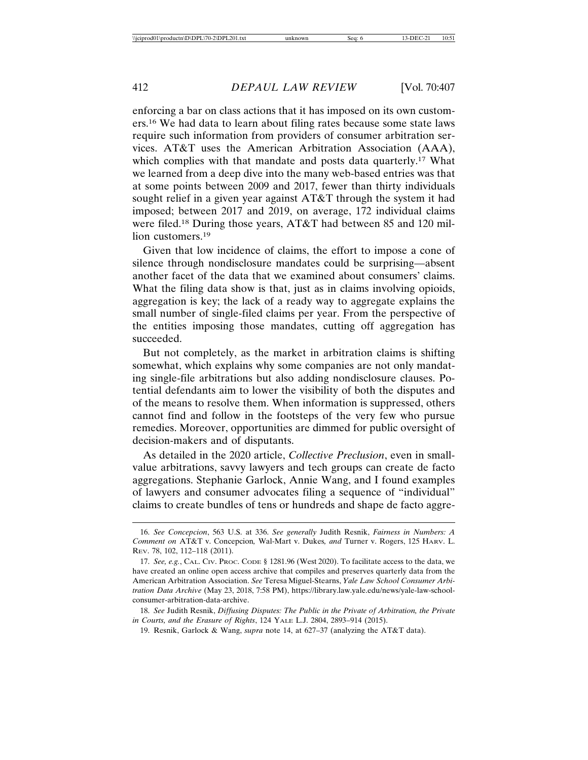enforcing a bar on class actions that it has imposed on its own customers.16 We had data to learn about filing rates because some state laws require such information from providers of consumer arbitration services. AT&T uses the American Arbitration Association (AAA), which complies with that mandate and posts data quarterly.<sup>17</sup> What we learned from a deep dive into the many web-based entries was that at some points between 2009 and 2017, fewer than thirty individuals sought relief in a given year against AT&T through the system it had imposed; between 2017 and 2019, on average, 172 individual claims were filed.18 During those years, AT&T had between 85 and 120 million customers.<sup>19</sup>

Given that low incidence of claims, the effort to impose a cone of silence through nondisclosure mandates could be surprising—absent another facet of the data that we examined about consumers' claims. What the filing data show is that, just as in claims involving opioids, aggregation is key; the lack of a ready way to aggregate explains the small number of single-filed claims per year. From the perspective of the entities imposing those mandates, cutting off aggregation has succeeded.

But not completely, as the market in arbitration claims is shifting somewhat, which explains why some companies are not only mandating single-file arbitrations but also adding nondisclosure clauses. Potential defendants aim to lower the visibility of both the disputes and of the means to resolve them. When information is suppressed, others cannot find and follow in the footsteps of the very few who pursue remedies. Moreover, opportunities are dimmed for public oversight of decision-makers and of disputants.

As detailed in the 2020 article, *Collective Preclusion*, even in smallvalue arbitrations, savvy lawyers and tech groups can create de facto aggregations. Stephanie Garlock, Annie Wang, and I found examples of lawyers and consumer advocates filing a sequence of "individual" claims to create bundles of tens or hundreds and shape de facto aggre-

<sup>16.</sup> *See Concepcion*, 563 U.S. at 336. *See generally* Judith Resnik, *Fairness in Numbers: A Comment on* AT&T v. Concepcion*,* Wal-Mart v. Dukes*, and* Turner v. Rogers, 125 HARV. L. REV. 78, 102, 112–118 (2011).

<sup>17.</sup> *See, e.g.*, CAL. CIV. PROC. CODE § 1281.96 (West 2020). To facilitate access to the data, we have created an online open access archive that compiles and preserves quarterly data from the American Arbitration Association. *See* Teresa Miguel-Stearns, *Yale Law School Consumer Arbitration Data Archive* (May 23, 2018, 7:58 PM), https://library.law.yale.edu/news/yale-law-schoolconsumer-arbitration-data-archive.

<sup>18.</sup> *See* Judith Resnik, *Diffusing Disputes: The Public in the Private of Arbitration, the Private in Courts, and the Erasure of Rights*, 124 YALE L.J. 2804, 2893–914 (2015).

<sup>19.</sup> Resnik, Garlock & Wang, *supra* note 14, at 627–37 (analyzing the AT&T data).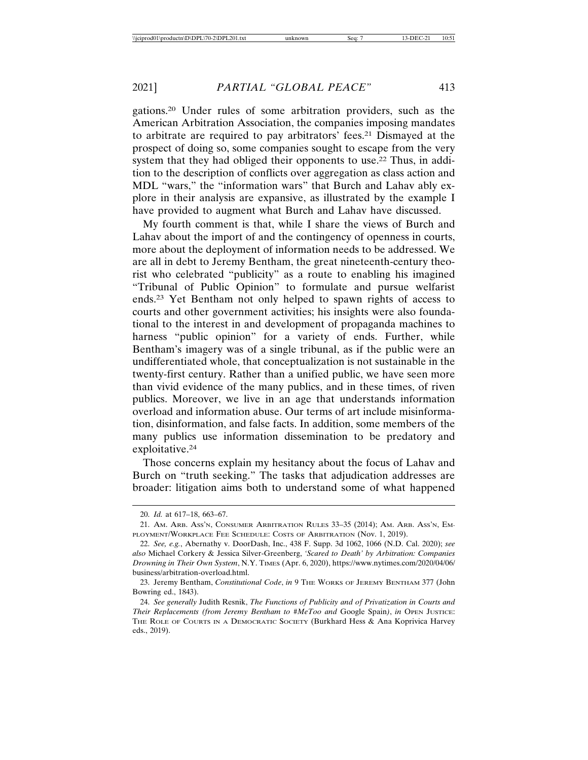gations.20 Under rules of some arbitration providers, such as the American Arbitration Association, the companies imposing mandates to arbitrate are required to pay arbitrators' fees.21 Dismayed at the prospect of doing so, some companies sought to escape from the very system that they had obliged their opponents to use.22 Thus, in addition to the description of conflicts over aggregation as class action and MDL "wars," the "information wars" that Burch and Lahav ably explore in their analysis are expansive, as illustrated by the example I have provided to augment what Burch and Lahav have discussed.

My fourth comment is that, while I share the views of Burch and Lahav about the import of and the contingency of openness in courts, more about the deployment of information needs to be addressed. We are all in debt to Jeremy Bentham, the great nineteenth-century theorist who celebrated "publicity" as a route to enabling his imagined "Tribunal of Public Opinion" to formulate and pursue welfarist ends.23 Yet Bentham not only helped to spawn rights of access to courts and other government activities; his insights were also foundational to the interest in and development of propaganda machines to harness "public opinion" for a variety of ends. Further, while Bentham's imagery was of a single tribunal, as if the public were an undifferentiated whole, that conceptualization is not sustainable in the twenty-first century. Rather than a unified public, we have seen more than vivid evidence of the many publics, and in these times, of riven publics. Moreover, we live in an age that understands information overload and information abuse. Our terms of art include misinformation, disinformation, and false facts. In addition, some members of the many publics use information dissemination to be predatory and exploitative.24

Those concerns explain my hesitancy about the focus of Lahav and Burch on "truth seeking." The tasks that adjudication addresses are broader: litigation aims both to understand some of what happened

<sup>20.</sup> *Id.* at 617–18, 663–67.

<sup>21.</sup> AM. ARB. ASS'N, CONSUMER ARBITRATION RULES 33–35 (2014); AM. ARB. ASS'N, EM-PLOYMENT/WORKPLACE FEE SCHEDULE: COSTS OF ARBITRATION (NOV. 1, 2019).

<sup>22.</sup> *See, e.g.*, Abernathy v. DoorDash, Inc., 438 F. Supp. 3d 1062, 1066 (N.D. Cal. 2020); *see also* Michael Corkery & Jessica Silver-Greenberg, *'Scared to Death' by Arbitration: Companies Drowning in Their Own System*, N.Y. TIMES (Apr. 6, 2020), https://www.nytimes.com/2020/04/06/ business/arbitration-overload.html.

<sup>23.</sup> Jeremy Bentham, *Constitutional Code*, *in* 9 THE WORKS OF JEREMY BENTHAM 377 (John Bowring ed., 1843).

<sup>24.</sup> *See generally* Judith Resnik, *The Functions of Publicity and of Privatization in Courts and Their Replacements (from Jeremy Bentham to #MeToo and* Google Spain*)*, *in* OPEN JUSTICE: THE ROLE OF COURTS IN A DEMOCRATIC SOCIETY (Burkhard Hess & Ana Koprivica Harvey eds., 2019).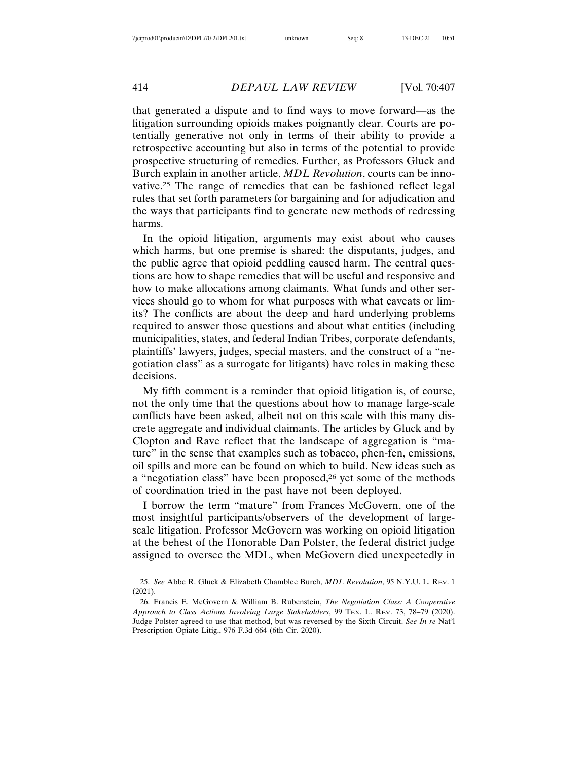that generated a dispute and to find ways to move forward—as the litigation surrounding opioids makes poignantly clear. Courts are potentially generative not only in terms of their ability to provide a retrospective accounting but also in terms of the potential to provide prospective structuring of remedies. Further, as Professors Gluck and Burch explain in another article, *MDL Revolution*, courts can be innovative.25 The range of remedies that can be fashioned reflect legal rules that set forth parameters for bargaining and for adjudication and the ways that participants find to generate new methods of redressing harms.

In the opioid litigation, arguments may exist about who causes which harms, but one premise is shared: the disputants, judges, and the public agree that opioid peddling caused harm. The central questions are how to shape remedies that will be useful and responsive and how to make allocations among claimants. What funds and other services should go to whom for what purposes with what caveats or limits? The conflicts are about the deep and hard underlying problems required to answer those questions and about what entities (including municipalities, states, and federal Indian Tribes, corporate defendants, plaintiffs' lawyers, judges, special masters, and the construct of a "negotiation class" as a surrogate for litigants) have roles in making these decisions.

My fifth comment is a reminder that opioid litigation is, of course, not the only time that the questions about how to manage large-scale conflicts have been asked, albeit not on this scale with this many discrete aggregate and individual claimants. The articles by Gluck and by Clopton and Rave reflect that the landscape of aggregation is "mature" in the sense that examples such as tobacco, phen-fen, emissions, oil spills and more can be found on which to build. New ideas such as a "negotiation class" have been proposed,26 yet some of the methods of coordination tried in the past have not been deployed.

I borrow the term "mature" from Frances McGovern, one of the most insightful participants/observers of the development of largescale litigation. Professor McGovern was working on opioid litigation at the behest of the Honorable Dan Polster, the federal district judge assigned to oversee the MDL, when McGovern died unexpectedly in

<sup>25.</sup> *See* Abbe R. Gluck & Elizabeth Chamblee Burch, *MDL Revolution*, 95 N.Y.U. L. REV. 1 (2021).

<sup>26.</sup> Francis E. McGovern & William B. Rubenstein, *The Negotiation Class: A Cooperative Approach to Class Actions Involving Large Stakeholders*, 99 TEX. L. REV. 73, 78–79 (2020). Judge Polster agreed to use that method, but was reversed by the Sixth Circuit. *See In re* Nat'l Prescription Opiate Litig., 976 F.3d 664 (6th Cir. 2020).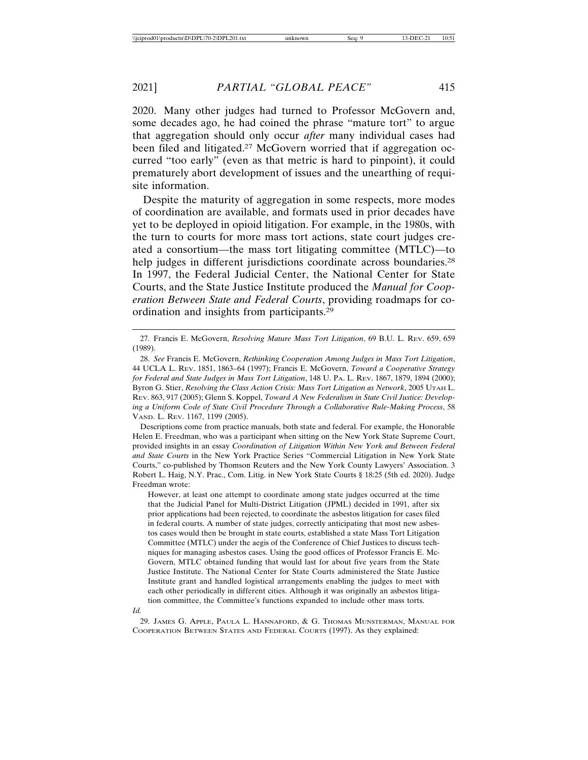2020. Many other judges had turned to Professor McGovern and, some decades ago, he had coined the phrase "mature tort" to argue that aggregation should only occur *after* many individual cases had been filed and litigated.<sup>27</sup> McGovern worried that if aggregation occurred "too early" (even as that metric is hard to pinpoint), it could prematurely abort development of issues and the unearthing of requisite information.

Despite the maturity of aggregation in some respects, more modes of coordination are available, and formats used in prior decades have yet to be deployed in opioid litigation. For example, in the 1980s, with the turn to courts for more mass tort actions, state court judges created a consortium—the mass tort litigating committee (MTLC)—to help judges in different jurisdictions coordinate across boundaries.<sup>28</sup> In 1997, the Federal Judicial Center, the National Center for State Courts, and the State Justice Institute produced the *Manual for Cooperation Between State and Federal Courts*, providing roadmaps for coordination and insights from participants.29

Descriptions come from practice manuals, both state and federal. For example, the Honorable Helen E. Freedman, who was a participant when sitting on the New York State Supreme Court, provided insights in an essay *Coordination of Litigation Within New York and Between Federal and State Courts* in the New York Practice Series "Commercial Litigation in New York State Courts," co-published by Thomson Reuters and the New York County Lawyers' Association. 3 Robert L. Haig, N.Y. Prac., Com. Litig. in New York State Courts § 18:25 (5th ed. 2020). Judge Freedman wrote:

However, at least one attempt to coordinate among state judges occurred at the time that the Judicial Panel for Multi-District Litigation (JPML) decided in 1991, after six prior applications had been rejected, to coordinate the asbestos litigation for cases filed in federal courts. A number of state judges, correctly anticipating that most new asbestos cases would then be brought in state courts, established a state Mass Tort Litigation Committee (MTLC) under the aegis of the Conference of Chief Justices to discuss techniques for managing asbestos cases. Using the good offices of Professor Francis E. Mc-Govern, MTLC obtained funding that would last for about five years from the State Justice Institute. The National Center for State Courts administered the State Justice Institute grant and handled logistical arrangements enabling the judges to meet with each other periodically in different cities. Although it was originally an asbestos litigation committee, the Committee's functions expanded to include other mass torts.

*Id.*

29. JAMES G. APPLE, PAULA L. HANNAFORD, & G. THOMAS MUNSTERMAN, MANUAL FOR COOPERATION BETWEEN STATES AND FEDERAL COURTS (1997). As they explained:

<sup>27.</sup> Francis E. McGovern, *Resolving Mature Mass Tort Litigation*, 69 B.U. L. REV. 659, 659 (1989).

<sup>28.</sup> *See* Francis E. McGovern, *Rethinking Cooperation Among Judges in Mass Tort Litigation*, 44 UCLA L. REV. 1851, 1863–64 (1997); Francis E. McGovern, *Toward a Cooperative Strategy for Federal and State Judges in Mass Tort Litigation*, 148 U. PA. L. REV. 1867, 1879, 1894 (2000); Byron G. Stier, *Resolving the Class Action Crisis: Mass Tort Litigation as Network*, 2005 UTAH L. REV. 863, 917 (2005); Glenn S. Koppel, *Toward A New Federalism in State Civil Justice: Developing a Uniform Code of State Civil Procedure Through a Collaborative Rule-Making Process*, 58 VAND. L. REV. 1167, 1199 (2005).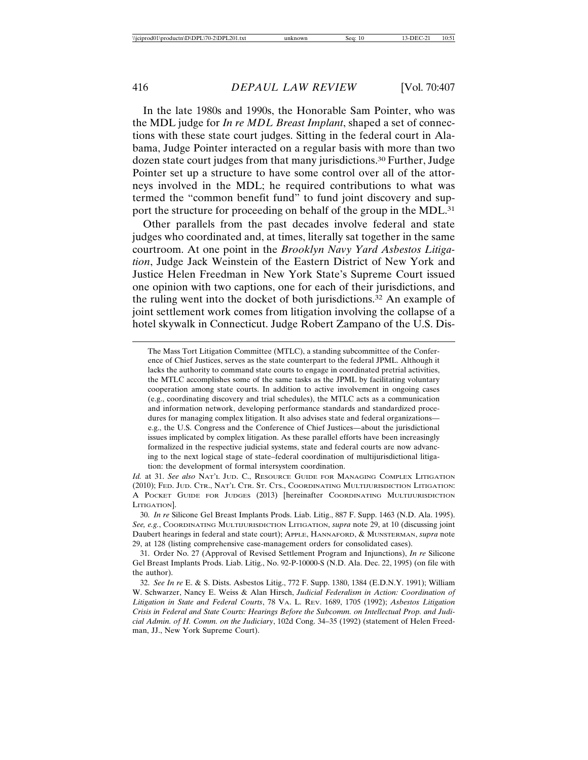In the late 1980s and 1990s, the Honorable Sam Pointer, who was the MDL judge for *In re MDL Breast Implant*, shaped a set of connections with these state court judges. Sitting in the federal court in Alabama, Judge Pointer interacted on a regular basis with more than two dozen state court judges from that many jurisdictions.<sup>30</sup> Further, Judge Pointer set up a structure to have some control over all of the attorneys involved in the MDL; he required contributions to what was termed the "common benefit fund" to fund joint discovery and support the structure for proceeding on behalf of the group in the MDL.<sup>31</sup>

Other parallels from the past decades involve federal and state judges who coordinated and, at times, literally sat together in the same courtroom. At one point in the *Brooklyn Navy Yard Asbestos Litigation*, Judge Jack Weinstein of the Eastern District of New York and Justice Helen Freedman in New York State's Supreme Court issued one opinion with two captions, one for each of their jurisdictions, and the ruling went into the docket of both jurisdictions.32 An example of joint settlement work comes from litigation involving the collapse of a hotel skywalk in Connecticut. Judge Robert Zampano of the U.S. Dis-

The Mass Tort Litigation Committee (MTLC), a standing subcommittee of the Conference of Chief Justices, serves as the state counterpart to the federal JPML. Although it lacks the authority to command state courts to engage in coordinated pretrial activities, the MTLC accomplishes some of the same tasks as the JPML by facilitating voluntary cooperation among state courts. In addition to active involvement in ongoing cases (e.g., coordinating discovery and trial schedules), the MTLC acts as a communication and information network, developing performance standards and standardized procedures for managing complex litigation. It also advises state and federal organizations e.g., the U.S. Congress and the Conference of Chief Justices—about the jurisdictional issues implicated by complex litigation. As these parallel efforts have been increasingly formalized in the respective judicial systems, state and federal courts are now advancing to the next logical stage of state–federal coordination of multijurisdictional litigation: the development of formal intersystem coordination.

*Id.* at 31. *See also* NAT'L JUD. C., RESOURCE GUIDE FOR MANAGING COMPLEX LITIGATION (2010); FED. JUD. CTR., NAT'L CTR. ST. CTS., COORDINATING MULTIJURISDICTION LITIGATION: A POCKET GUIDE FOR JUDGES (2013) [hereinafter COORDINATING MULTIJURISDICTION LITIGATION].

30. *In re* Silicone Gel Breast Implants Prods. Liab. Litig., 887 F. Supp. 1463 (N.D. Ala. 1995). *See, e.g.*, COORDINATING MULTIJURISDICTION LITIGATION, *supra* note 29, at 10 (discussing joint Daubert hearings in federal and state court); APPLE, HANNAFORD, & MUNSTERMAN, *supra* note 29, at 128 (listing comprehensive case-management orders for consolidated cases).

31. Order No. 27 (Approval of Revised Settlement Program and Injunctions), *In re* Silicone Gel Breast Implants Prods. Liab. Litig., No. 92-P-10000-S (N.D. Ala. Dec. 22, 1995) (on file with the author).

32. *See In re* E. & S. Dists. Asbestos Litig., 772 F. Supp. 1380, 1384 (E.D.N.Y. 1991); William W. Schwarzer, Nancy E. Weiss & Alan Hirsch, *Judicial Federalism in Action: Coordination of Litigation in State and Federal Courts*, 78 VA. L. REV. 1689, 1705 (1992); *Asbestos Litigation Crisis in Federal and State Courts: Hearings Before the Subcomm. on Intellectual Prop. and Judicial Admin. of H. Comm. on the Judiciary*, 102d Cong. 34–35 (1992) (statement of Helen Freedman, JJ., New York Supreme Court).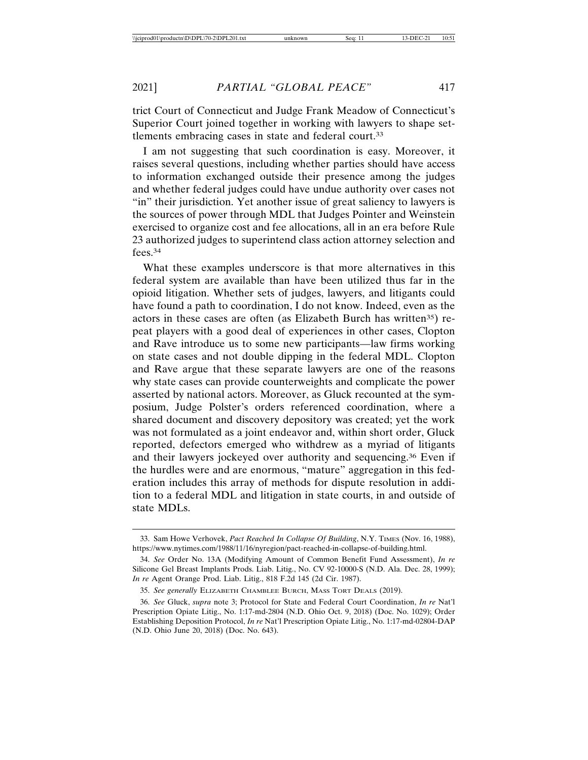trict Court of Connecticut and Judge Frank Meadow of Connecticut's Superior Court joined together in working with lawyers to shape settlements embracing cases in state and federal court.33

I am not suggesting that such coordination is easy. Moreover, it raises several questions, including whether parties should have access to information exchanged outside their presence among the judges and whether federal judges could have undue authority over cases not "in" their jurisdiction. Yet another issue of great saliency to lawyers is the sources of power through MDL that Judges Pointer and Weinstein exercised to organize cost and fee allocations, all in an era before Rule 23 authorized judges to superintend class action attorney selection and fees.34

What these examples underscore is that more alternatives in this federal system are available than have been utilized thus far in the opioid litigation. Whether sets of judges, lawyers, and litigants could have found a path to coordination, I do not know. Indeed, even as the actors in these cases are often (as Elizabeth Burch has written<sup>35</sup>) repeat players with a good deal of experiences in other cases, Clopton and Rave introduce us to some new participants—law firms working on state cases and not double dipping in the federal MDL. Clopton and Rave argue that these separate lawyers are one of the reasons why state cases can provide counterweights and complicate the power asserted by national actors. Moreover, as Gluck recounted at the symposium, Judge Polster's orders referenced coordination, where a shared document and discovery depository was created; yet the work was not formulated as a joint endeavor and, within short order, Gluck reported, defectors emerged who withdrew as a myriad of litigants and their lawyers jockeyed over authority and sequencing.36 Even if the hurdles were and are enormous, "mature" aggregation in this federation includes this array of methods for dispute resolution in addition to a federal MDL and litigation in state courts, in and outside of state MDLs.

<sup>33.</sup> Sam Howe Verhovek, *Pact Reached In Collapse Of Building*, N.Y. TIMES (Nov. 16, 1988), https://www.nytimes.com/1988/11/16/nyregion/pact-reached-in-collapse-of-building.html.

<sup>34.</sup> *See* Order No. 13A (Modifying Amount of Common Benefit Fund Assessment), *In re* Silicone Gel Breast Implants Prods. Liab. Litig., No. CV 92-10000-S (N.D. Ala. Dec. 28, 1999); *In re* Agent Orange Prod. Liab. Litig., 818 F.2d 145 (2d Cir. 1987).

<sup>35.</sup> *See generally* ELIZABETH CHAMBLEE BURCH, MASS TORT DEALS (2019).

<sup>36.</sup> *See* Gluck, *supra* note 3; Protocol for State and Federal Court Coordination, *In re* Nat'l Prescription Opiate Litig., No. 1:17-md-2804 (N.D. Ohio Oct. 9, 2018) (Doc. No. 1029); Order Establishing Deposition Protocol, *In re* Nat'l Prescription Opiate Litig., No. 1:17-md-02804-DAP (N.D. Ohio June 20, 2018) (Doc. No. 643).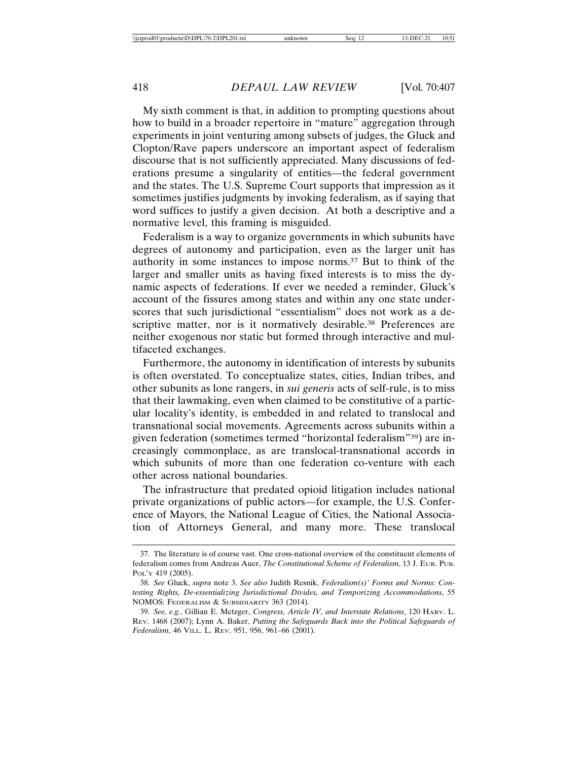My sixth comment is that, in addition to prompting questions about how to build in a broader repertoire in "mature" aggregation through experiments in joint venturing among subsets of judges, the Gluck and Clopton/Rave papers underscore an important aspect of federalism discourse that is not sufficiently appreciated. Many discussions of federations presume a singularity of entities—the federal government and the states. The U.S. Supreme Court supports that impression as it sometimes justifies judgments by invoking federalism, as if saying that word suffices to justify a given decision. At both a descriptive and a normative level, this framing is misguided.

Federalism is a way to organize governments in which subunits have degrees of autonomy and participation, even as the larger unit has authority in some instances to impose norms.37 But to think of the larger and smaller units as having fixed interests is to miss the dynamic aspects of federations. If ever we needed a reminder, Gluck's account of the fissures among states and within any one state underscores that such jurisdictional "essentialism" does not work as a descriptive matter, nor is it normatively desirable.<sup>38</sup> Preferences are neither exogenous nor static but formed through interactive and multifaceted exchanges.

Furthermore, the autonomy in identification of interests by subunits is often overstated. To conceptualize states, cities, Indian tribes, and other subunits as lone rangers, in *sui generis* acts of self-rule, is to miss that their lawmaking, even when claimed to be constitutive of a particular locality's identity, is embedded in and related to translocal and transnational social movements. Agreements across subunits within a given federation (sometimes termed "horizontal federalism"39) are increasingly commonplace, as are translocal-transnational accords in which subunits of more than one federation co-venture with each other across national boundaries.

The infrastructure that predated opioid litigation includes national private organizations of public actors—for example, the U.S. Conference of Mayors, the National League of Cities, the National Association of Attorneys General, and many more. These translocal

<sup>37.</sup> The literature is of course vast. One cross-national overview of the constituent elements of federalism comes from Andreas Auer, *The Constitutional Scheme of Federalism*, 13 J. EUR. PUB. POL'Y 419 (2005).

<sup>38.</sup> *See* Gluck, *supra* note 3. *See also* Judith Resnik, *Federalism(s)' Forms and Norms: Contesting Rights, De-essentializing Jurisdictional Divides, and Temporizing Accommodations*, 55 NOMOS: FEDERALISM & SUBSIDIARITY 363 (2014).

<sup>39.</sup> *See, e.g.*, Gillian E. Metzger, *Congress, Article IV, and Interstate Relations*, 120 HARV. L. REV. 1468 (2007); Lynn A. Baker, *Putting the Safeguards Back into the Political Safeguards of Federalism*, 46 VILL. L. REV. 951, 956, 961–66 (2001).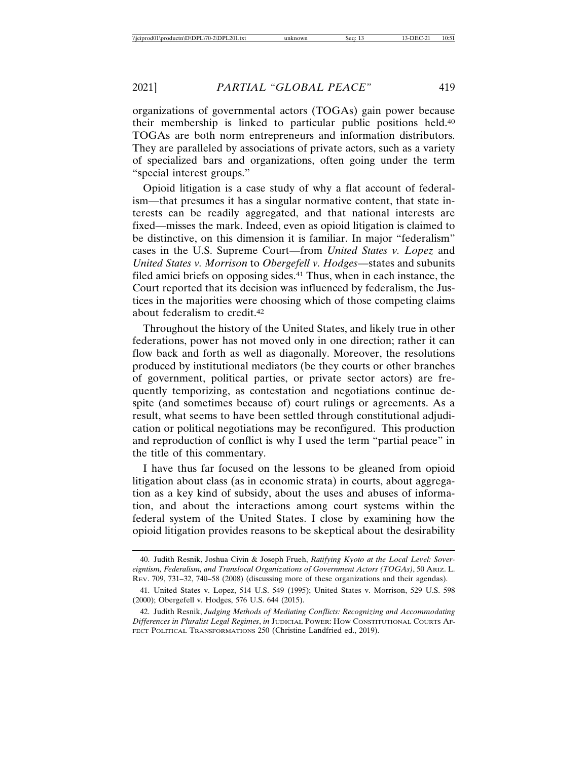organizations of governmental actors (TOGAs) gain power because their membership is linked to particular public positions held.40 TOGAs are both norm entrepreneurs and information distributors. They are paralleled by associations of private actors, such as a variety of specialized bars and organizations, often going under the term "special interest groups."

Opioid litigation is a case study of why a flat account of federalism—that presumes it has a singular normative content, that state interests can be readily aggregated, and that national interests are fixed—misses the mark. Indeed, even as opioid litigation is claimed to be distinctive, on this dimension it is familiar. In major "federalism" cases in the U.S. Supreme Court—from *United States v. Lopez* and *United States v. Morrison* to *Obergefell v. Hodges*—states and subunits filed amici briefs on opposing sides.<sup>41</sup> Thus, when in each instance, the Court reported that its decision was influenced by federalism, the Justices in the majorities were choosing which of those competing claims about federalism to credit.42

Throughout the history of the United States, and likely true in other federations, power has not moved only in one direction; rather it can flow back and forth as well as diagonally. Moreover, the resolutions produced by institutional mediators (be they courts or other branches of government, political parties, or private sector actors) are frequently temporizing, as contestation and negotiations continue despite (and sometimes because of) court rulings or agreements. As a result, what seems to have been settled through constitutional adjudication or political negotiations may be reconfigured. This production and reproduction of conflict is why I used the term "partial peace" in the title of this commentary.

I have thus far focused on the lessons to be gleaned from opioid litigation about class (as in economic strata) in courts, about aggregation as a key kind of subsidy, about the uses and abuses of information, and about the interactions among court systems within the federal system of the United States. I close by examining how the opioid litigation provides reasons to be skeptical about the desirability

<sup>40.</sup> Judith Resnik, Joshua Civin & Joseph Frueh, *Ratifying Kyoto at the Local Level: Sovereigntism, Federalism, and Translocal Organizations of Government Actors (TOGAs)*, 50 ARIZ. L. REV. 709, 731–32, 740–58 (2008) (discussing more of these organizations and their agendas).

<sup>41.</sup> United States v. Lopez, 514 U.S. 549 (1995); United States v. Morrison, 529 U.S. 598 (2000); Obergefell v. Hodges, 576 U.S. 644 (2015).

<sup>42.</sup> Judith Resnik, *Judging Methods of Mediating Conflicts: Recognizing and Accommodating Differences in Pluralist Legal Regimes*, *in* JUDICIAL POWER: HOW CONSTITUTIONAL COURTS AF-FECT POLITICAL TRANSFORMATIONS 250 (Christine Landfried ed., 2019).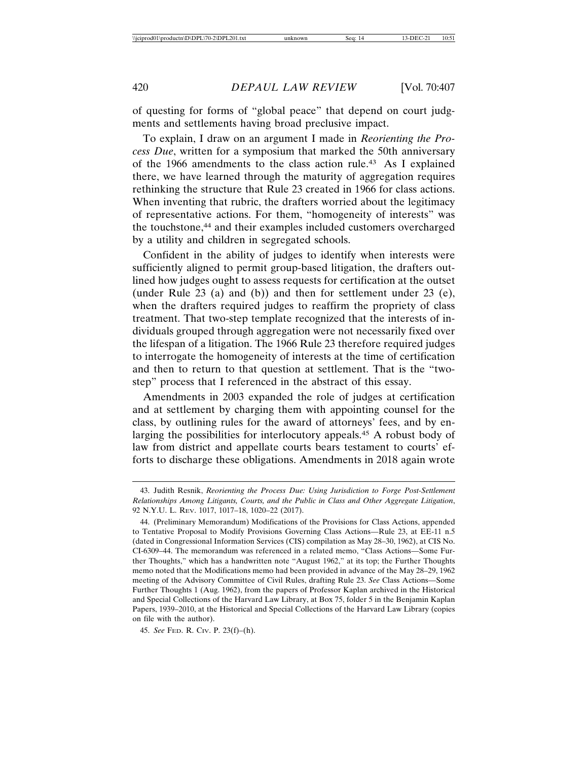of questing for forms of "global peace" that depend on court judgments and settlements having broad preclusive impact.

To explain, I draw on an argument I made in *Reorienting the Process Due*, written for a symposium that marked the 50th anniversary of the 1966 amendments to the class action rule.43 As I explained there, we have learned through the maturity of aggregation requires rethinking the structure that Rule 23 created in 1966 for class actions. When inventing that rubric, the drafters worried about the legitimacy of representative actions. For them, "homogeneity of interests" was the touchstone,<sup>44</sup> and their examples included customers overcharged by a utility and children in segregated schools.

Confident in the ability of judges to identify when interests were sufficiently aligned to permit group-based litigation, the drafters outlined how judges ought to assess requests for certification at the outset (under Rule 23 (a) and (b)) and then for settlement under 23 (e), when the drafters required judges to reaffirm the propriety of class treatment. That two-step template recognized that the interests of individuals grouped through aggregation were not necessarily fixed over the lifespan of a litigation. The 1966 Rule 23 therefore required judges to interrogate the homogeneity of interests at the time of certification and then to return to that question at settlement. That is the "twostep" process that I referenced in the abstract of this essay.

Amendments in 2003 expanded the role of judges at certification and at settlement by charging them with appointing counsel for the class, by outlining rules for the award of attorneys' fees, and by enlarging the possibilities for interlocutory appeals.45 A robust body of law from district and appellate courts bears testament to courts' efforts to discharge these obligations. Amendments in 2018 again wrote

<sup>43.</sup> Judith Resnik, *Reorienting the Process Due: Using Jurisdiction to Forge Post-Settlement Relationships Among Litigants, Courts, and the Public in Class and Other Aggregate Litigation*, 92 N.Y.U. L. REV. 1017, 1017–18, 1020–22 (2017).

<sup>44. (</sup>Preliminary Memorandum) Modifications of the Provisions for Class Actions, appended to Tentative Proposal to Modify Provisions Governing Class Actions—Rule 23, at EE-11 n.5 (dated in Congressional Information Services (CIS) compilation as May 28–30, 1962), at CIS No. CI-6309–44. The memorandum was referenced in a related memo, "Class Actions—Some Further Thoughts," which has a handwritten note "August 1962," at its top; the Further Thoughts memo noted that the Modifications memo had been provided in advance of the May 28–29, 1962 meeting of the Advisory Committee of Civil Rules, drafting Rule 23. *See* Class Actions—Some Further Thoughts 1 (Aug. 1962), from the papers of Professor Kaplan archived in the Historical and Special Collections of the Harvard Law Library, at Box 75, folder 5 in the Benjamin Kaplan Papers, 1939–2010, at the Historical and Special Collections of the Harvard Law Library (copies on file with the author).

<sup>45.</sup> *See* FED. R. CIV. P. 23(f)–(h).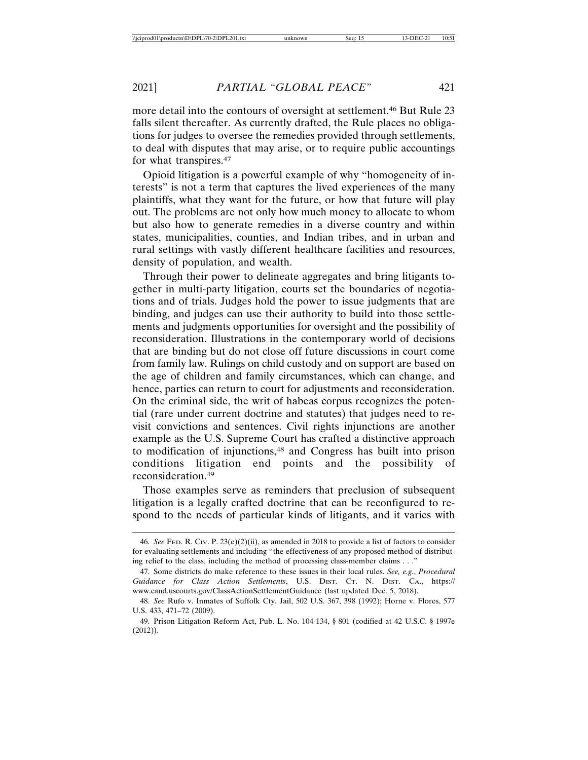more detail into the contours of oversight at settlement.46 But Rule 23 falls silent thereafter. As currently drafted, the Rule places no obligations for judges to oversee the remedies provided through settlements, to deal with disputes that may arise, or to require public accountings for what transpires.47

Opioid litigation is a powerful example of why "homogeneity of interests" is not a term that captures the lived experiences of the many plaintiffs, what they want for the future, or how that future will play out. The problems are not only how much money to allocate to whom but also how to generate remedies in a diverse country and within states, municipalities, counties, and Indian tribes, and in urban and rural settings with vastly different healthcare facilities and resources, density of population, and wealth.

Through their power to delineate aggregates and bring litigants together in multi-party litigation, courts set the boundaries of negotiations and of trials. Judges hold the power to issue judgments that are binding, and judges can use their authority to build into those settlements and judgments opportunities for oversight and the possibility of reconsideration. Illustrations in the contemporary world of decisions that are binding but do not close off future discussions in court come from family law. Rulings on child custody and on support are based on the age of children and family circumstances, which can change, and hence, parties can return to court for adjustments and reconsideration. On the criminal side, the writ of habeas corpus recognizes the potential (rare under current doctrine and statutes) that judges need to revisit convictions and sentences. Civil rights injunctions are another example as the U.S. Supreme Court has crafted a distinctive approach to modification of injunctions,48 and Congress has built into prison conditions litigation end points and the possibility of reconsideration.49

Those examples serve as reminders that preclusion of subsequent litigation is a legally crafted doctrine that can be reconfigured to respond to the needs of particular kinds of litigants, and it varies with

<sup>46.</sup> *See* FED. R. CIV. P. 23(e)(2)(ii), as amended in 2018 to provide a list of factors to consider for evaluating settlements and including "the effectiveness of any proposed method of distributing relief to the class, including the method of processing class-member claims . . ."

<sup>47.</sup> Some districts do make reference to these issues in their local rules. *See, e.g.*, *Procedural Guidance for Class Action Settlements*, U.S. DIST. CT. N. DIST. CA., https:// www.cand.uscourts.gov/ClassActionSettlementGuidance (last updated Dec. 5, 2018).

<sup>48.</sup> *See* Rufo v. Inmates of Suffolk Cty. Jail, 502 U.S. 367, 398 (1992); Horne v. Flores, 577 U.S. 433, 471–72 (2009).

<sup>49.</sup> Prison Litigation Reform Act, Pub. L. No. 104-134, § 801 (codified at 42 U.S.C. § 1997e (2012)).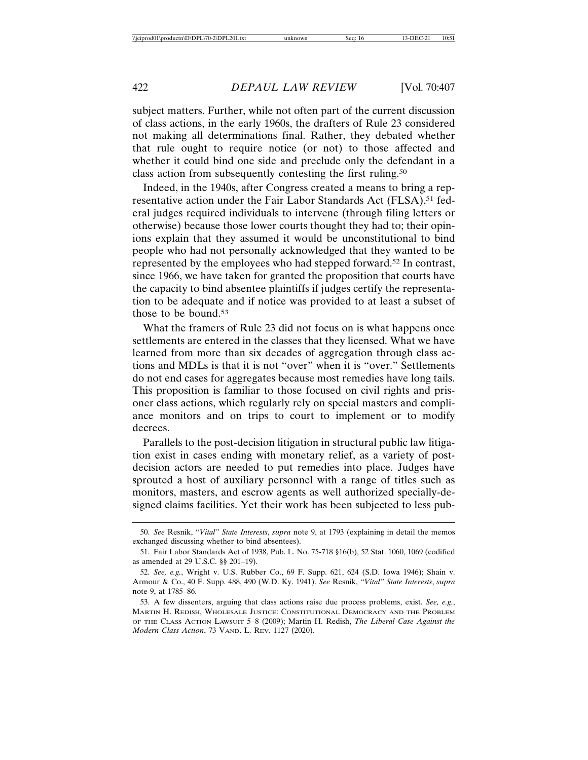subject matters. Further, while not often part of the current discussion of class actions, in the early 1960s, the drafters of Rule 23 considered not making all determinations final. Rather, they debated whether that rule ought to require notice (or not) to those affected and whether it could bind one side and preclude only the defendant in a class action from subsequently contesting the first ruling.50

Indeed, in the 1940s, after Congress created a means to bring a representative action under the Fair Labor Standards Act (FLSA),<sup>51</sup> federal judges required individuals to intervene (through filing letters or otherwise) because those lower courts thought they had to; their opinions explain that they assumed it would be unconstitutional to bind people who had not personally acknowledged that they wanted to be represented by the employees who had stepped forward.52 In contrast, since 1966, we have taken for granted the proposition that courts have the capacity to bind absentee plaintiffs if judges certify the representation to be adequate and if notice was provided to at least a subset of those to be bound.<sup>53</sup>

What the framers of Rule 23 did not focus on is what happens once settlements are entered in the classes that they licensed. What we have learned from more than six decades of aggregation through class actions and MDLs is that it is not "over" when it is "over." Settlements do not end cases for aggregates because most remedies have long tails. This proposition is familiar to those focused on civil rights and prisoner class actions, which regularly rely on special masters and compliance monitors and on trips to court to implement or to modify decrees.

Parallels to the post-decision litigation in structural public law litigation exist in cases ending with monetary relief, as a variety of postdecision actors are needed to put remedies into place. Judges have sprouted a host of auxiliary personnel with a range of titles such as monitors, masters, and escrow agents as well authorized specially-designed claims facilities. Yet their work has been subjected to less pub-

<sup>50.</sup> *See* Resnik, "*Vital" State Interests*, *supra* note 9, at 1793 (explaining in detail the memos exchanged discussing whether to bind absentees).

<sup>51.</sup> Fair Labor Standards Act of 1938, Pub. L. No. 75-718 §16(b), 52 Stat. 1060, 1069 (codified as amended at 29 U.S.C. §§ 201–19).

<sup>52.</sup> *See, e.g.*, Wright v. U.S. Rubber Co., 69 F. Supp. 621, 624 (S.D. Iowa 1946); Shain v. Armour & Co., 40 F. Supp. 488, 490 (W.D. Ky. 1941). *See* Resnik, *"Vital" State Interests*, *supra* note 9, at 1785–86.

<sup>53.</sup> A few dissenters, arguing that class actions raise due process problems, exist. *See, e.g.*, MARTIN H. REDISH, WHOLESALE JUSTICE: CONSTITUTIONAL DEMOCRACY AND THE PROBLEM OF THE CLASS ACTION LAWSUIT 5–8 (2009); Martin H. Redish, *The Liberal Case Against the Modern Class Action*, 73 VAND. L. REV. 1127 (2020).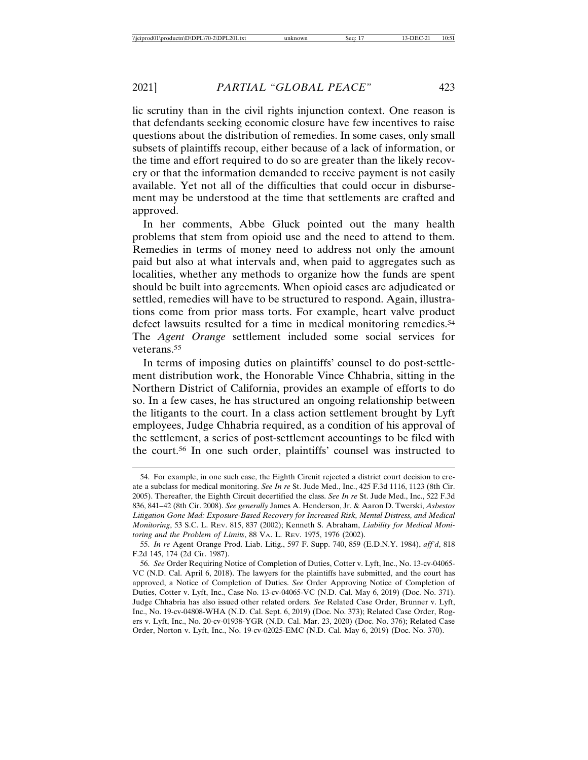lic scrutiny than in the civil rights injunction context. One reason is that defendants seeking economic closure have few incentives to raise questions about the distribution of remedies. In some cases, only small subsets of plaintiffs recoup, either because of a lack of information, or the time and effort required to do so are greater than the likely recovery or that the information demanded to receive payment is not easily available. Yet not all of the difficulties that could occur in disbursement may be understood at the time that settlements are crafted and approved.

In her comments, Abbe Gluck pointed out the many health problems that stem from opioid use and the need to attend to them. Remedies in terms of money need to address not only the amount paid but also at what intervals and, when paid to aggregates such as localities, whether any methods to organize how the funds are spent should be built into agreements. When opioid cases are adjudicated or settled, remedies will have to be structured to respond. Again, illustrations come from prior mass torts. For example, heart valve product defect lawsuits resulted for a time in medical monitoring remedies.<sup>54</sup> The *Agent Orange* settlement included some social services for veterans.55

In terms of imposing duties on plaintiffs' counsel to do post-settlement distribution work, the Honorable Vince Chhabria, sitting in the Northern District of California, provides an example of efforts to do so. In a few cases, he has structured an ongoing relationship between the litigants to the court. In a class action settlement brought by Lyft employees, Judge Chhabria required, as a condition of his approval of the settlement, a series of post-settlement accountings to be filed with the court.56 In one such order, plaintiffs' counsel was instructed to

<sup>54.</sup> For example, in one such case, the Eighth Circuit rejected a district court decision to create a subclass for medical monitoring. *See In re* St. Jude Med., Inc., 425 F.3d 1116, 1123 (8th Cir. 2005). Thereafter, the Eighth Circuit decertified the class. *See In re* St. Jude Med., Inc., 522 F.3d 836, 841–42 (8th Cir. 2008). *See generally* James A. Henderson, Jr. & Aaron D. Twerski, *Asbestos Litigation Gone Mad: Exposure-Based Recovery for Increased Risk, Mental Distress, and Medical Monitoring*, 53 S.C. L. REV. 815, 837 (2002); Kenneth S. Abraham, *Liability for Medical Monitoring and the Problem of Limits*, 88 VA. L. REV. 1975, 1976 (2002).

<sup>55.</sup> *In re* Agent Orange Prod. Liab. Litig., 597 F. Supp. 740, 859 (E.D.N.Y. 1984), *aff'd*, 818 F.2d 145, 174 (2d Cir. 1987).

<sup>56.</sup> *See* Order Requiring Notice of Completion of Duties, Cotter v. Lyft, Inc., No. 13-cv-04065- VC (N.D. Cal. April 6, 2018). The lawyers for the plaintiffs have submitted, and the court has approved, a Notice of Completion of Duties. *See* Order Approving Notice of Completion of Duties, Cotter v. Lyft, Inc., Case No. 13-cv-04065-VC (N.D. Cal. May 6, 2019) (Doc. No. 371). Judge Chhabria has also issued other related orders. *See* Related Case Order, Brunner v. Lyft, Inc., No. 19-cv-04808-WHA (N.D. Cal. Sept. 6, 2019) (Doc. No. 373); Related Case Order, Rogers v. Lyft, Inc., No. 20-cv-01938-YGR (N.D. Cal. Mar. 23, 2020) (Doc. No. 376); Related Case Order, Norton v. Lyft, Inc., No. 19-cv-02025-EMC (N.D. Cal. May 6, 2019) (Doc. No. 370).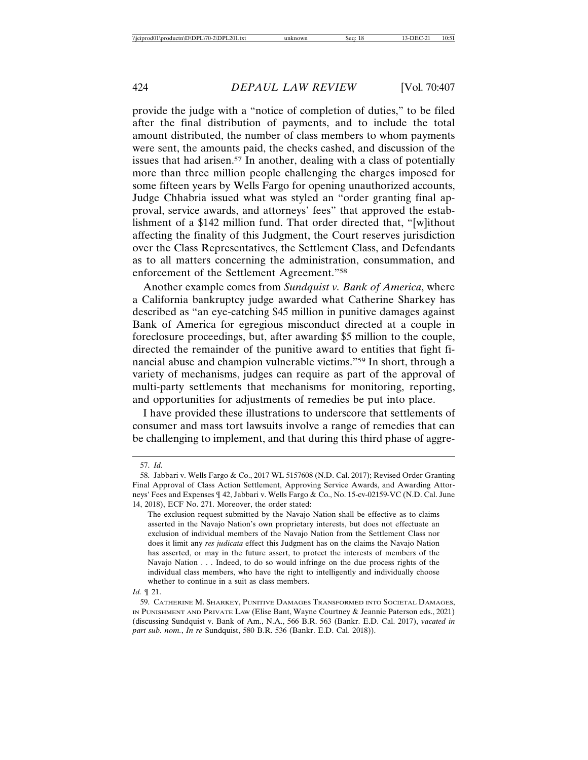provide the judge with a "notice of completion of duties," to be filed after the final distribution of payments, and to include the total amount distributed, the number of class members to whom payments were sent, the amounts paid, the checks cashed, and discussion of the issues that had arisen.<sup>57</sup> In another, dealing with a class of potentially more than three million people challenging the charges imposed for some fifteen years by Wells Fargo for opening unauthorized accounts, Judge Chhabria issued what was styled an "order granting final approval, service awards, and attorneys' fees" that approved the establishment of a \$142 million fund. That order directed that, "[w]ithout affecting the finality of this Judgment, the Court reserves jurisdiction over the Class Representatives, the Settlement Class, and Defendants as to all matters concerning the administration, consummation, and enforcement of the Settlement Agreement."58

Another example comes from *Sundquist v. Bank of America*, where a California bankruptcy judge awarded what Catherine Sharkey has described as "an eye-catching \$45 million in punitive damages against Bank of America for egregious misconduct directed at a couple in foreclosure proceedings, but, after awarding \$5 million to the couple, directed the remainder of the punitive award to entities that fight financial abuse and champion vulnerable victims."59 In short, through a variety of mechanisms, judges can require as part of the approval of multi-party settlements that mechanisms for monitoring, reporting, and opportunities for adjustments of remedies be put into place.

I have provided these illustrations to underscore that settlements of consumer and mass tort lawsuits involve a range of remedies that can be challenging to implement, and that during this third phase of aggre-

<sup>57.</sup> *Id.*

<sup>58.</sup> Jabbari v. Wells Fargo & Co., 2017 WL 5157608 (N.D. Cal. 2017); Revised Order Granting Final Approval of Class Action Settlement, Approving Service Awards, and Awarding Attorneys' Fees and Expenses ¶ 42, Jabbari v. Wells Fargo & Co., No. 15-cv-02159-VC (N.D. Cal. June 14, 2018), ECF No. 271. Moreover, the order stated:

The exclusion request submitted by the Navajo Nation shall be effective as to claims asserted in the Navajo Nation's own proprietary interests, but does not effectuate an exclusion of individual members of the Navajo Nation from the Settlement Class nor does it limit any *res judicata* effect this Judgment has on the claims the Navajo Nation has asserted, or may in the future assert, to protect the interests of members of the Navajo Nation . . . Indeed, to do so would infringe on the due process rights of the individual class members, who have the right to intelligently and individually choose whether to continue in a suit as class members.

*Id.* ¶ 21.

<sup>59.</sup> CATHERINE M. SHARKEY, PUNITIVE DAMAGES TRANSFORMED INTO SOCIETAL DAMAGES, IN PUNISHMENT AND PRIVATE LAW (Elise Bant, Wayne Courtney & Jeannie Paterson eds., 2021) (discussing Sundquist v. Bank of Am., N.A., 566 B.R. 563 (Bankr. E.D. Cal. 2017), *vacated in part sub. nom.*, *In re* Sundquist, 580 B.R. 536 (Bankr. E.D. Cal. 2018)).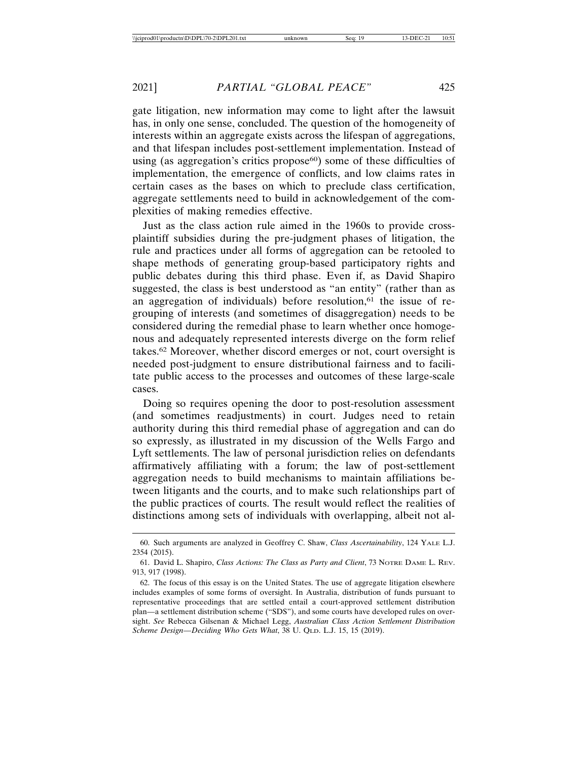gate litigation, new information may come to light after the lawsuit has, in only one sense, concluded. The question of the homogeneity of interests within an aggregate exists across the lifespan of aggregations, and that lifespan includes post-settlement implementation. Instead of using (as aggregation's critics propose $60$ ) some of these difficulties of implementation, the emergence of conflicts, and low claims rates in certain cases as the bases on which to preclude class certification, aggregate settlements need to build in acknowledgement of the complexities of making remedies effective.

Just as the class action rule aimed in the 1960s to provide crossplaintiff subsidies during the pre-judgment phases of litigation, the rule and practices under all forms of aggregation can be retooled to shape methods of generating group-based participatory rights and public debates during this third phase. Even if, as David Shapiro suggested, the class is best understood as "an entity" (rather than as an aggregation of individuals) before resolution, $61$  the issue of regrouping of interests (and sometimes of disaggregation) needs to be considered during the remedial phase to learn whether once homogenous and adequately represented interests diverge on the form relief takes.62 Moreover, whether discord emerges or not, court oversight is needed post-judgment to ensure distributional fairness and to facilitate public access to the processes and outcomes of these large-scale cases.

Doing so requires opening the door to post-resolution assessment (and sometimes readjustments) in court. Judges need to retain authority during this third remedial phase of aggregation and can do so expressly, as illustrated in my discussion of the Wells Fargo and Lyft settlements. The law of personal jurisdiction relies on defendants affirmatively affiliating with a forum; the law of post-settlement aggregation needs to build mechanisms to maintain affiliations between litigants and the courts, and to make such relationships part of the public practices of courts. The result would reflect the realities of distinctions among sets of individuals with overlapping, albeit not al-

<sup>60.</sup> Such arguments are analyzed in Geoffrey C. Shaw, *Class Ascertainability*, 124 YALE L.J. 2354 (2015).

<sup>61.</sup> David L. Shapiro, *Class Actions: The Class as Party and Client*, 73 NOTRE DAME L. REV. 913, 917 (1998).

<sup>62.</sup> The focus of this essay is on the United States. The use of aggregate litigation elsewhere includes examples of some forms of oversight. In Australia, distribution of funds pursuant to representative proceedings that are settled entail a court-approved settlement distribution plan—a settlement distribution scheme ("SDS"), and some courts have developed rules on oversight. *See* Rebecca Gilsenan & Michael Legg, *Australian Class Action Settlement Distribution Scheme Design—Deciding Who Gets What*, 38 U. QLD. L.J. 15, 15 (2019).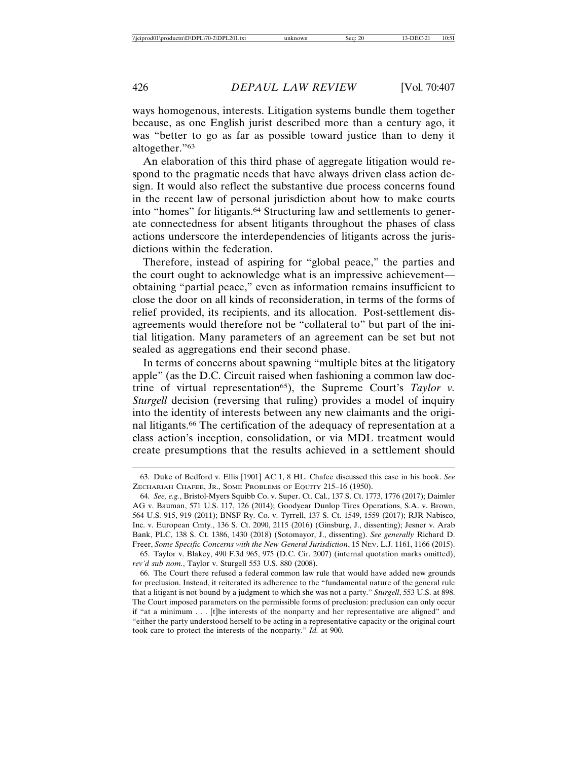ways homogenous, interests. Litigation systems bundle them together because, as one English jurist described more than a century ago, it was "better to go as far as possible toward justice than to deny it altogether."63

An elaboration of this third phase of aggregate litigation would respond to the pragmatic needs that have always driven class action design. It would also reflect the substantive due process concerns found in the recent law of personal jurisdiction about how to make courts into "homes" for litigants.64 Structuring law and settlements to generate connectedness for absent litigants throughout the phases of class actions underscore the interdependencies of litigants across the jurisdictions within the federation.

Therefore, instead of aspiring for "global peace," the parties and the court ought to acknowledge what is an impressive achievement obtaining "partial peace," even as information remains insufficient to close the door on all kinds of reconsideration, in terms of the forms of relief provided, its recipients, and its allocation. Post-settlement disagreements would therefore not be "collateral to" but part of the initial litigation. Many parameters of an agreement can be set but not sealed as aggregations end their second phase.

In terms of concerns about spawning "multiple bites at the litigatory apple" (as the D.C. Circuit raised when fashioning a common law doctrine of virtual representation65), the Supreme Court's *Taylor v. Sturgell* decision (reversing that ruling) provides a model of inquiry into the identity of interests between any new claimants and the original litigants.66 The certification of the adequacy of representation at a class action's inception, consolidation, or via MDL treatment would create presumptions that the results achieved in a settlement should

65. Taylor v. Blakey, 490 F.3d 965, 975 (D.C. Cir. 2007) (internal quotation marks omitted), *rev'd sub nom.*, Taylor v. Sturgell 553 U.S. 880 (2008).

66. The Court there refused a federal common law rule that would have added new grounds for preclusion. Instead, it reiterated its adherence to the "fundamental nature of the general rule that a litigant is not bound by a judgment to which she was not a party." *Sturgell*, 553 U.S. at 898. The Court imposed parameters on the permissible forms of preclusion: preclusion can only occur if "at a minimum . . . [t]he interests of the nonparty and her representative are aligned" and "either the party understood herself to be acting in a representative capacity or the original court took care to protect the interests of the nonparty." *Id.* at 900.

<sup>63.</sup> Duke of Bedford v. Ellis [1901] AC 1, 8 HL. Chafee discussed this case in his book. *See* ZECHARIAH CHAFEE, JR., SOME PROBLEMS OF EQUITY 215–16 (1950).

<sup>64.</sup> *See, e.g.*, Bristol-Myers Squibb Co. v. Super. Ct. Cal., 137 S. Ct. 1773, 1776 (2017); Daimler AG v. Bauman, 571 U.S. 117, 126 (2014); Goodyear Dunlop Tires Operations, S.A. v. Brown, 564 U.S. 915, 919 (2011); BNSF Ry. Co. v. Tyrrell, 137 S. Ct. 1549, 1559 (2017); RJR Nabisco, Inc. v. European Cmty*.*, 136 S. Ct. 2090, 2115 (2016) (Ginsburg, J., dissenting); Jesner v. Arab Bank, PLC, 138 S. Ct. 1386, 1430 (2018) (Sotomayor, J., dissenting). *See generally* Richard D. Freer, *Some Specific Concerns with the New General Jurisdiction*, 15 NEV. L.J. 1161, 1166 (2015).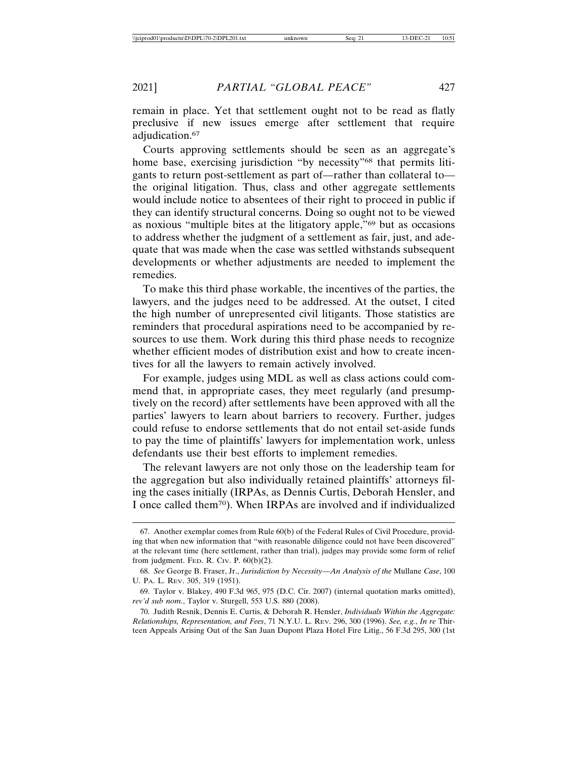remain in place. Yet that settlement ought not to be read as flatly preclusive if new issues emerge after settlement that require adjudication.<sup>67</sup>

Courts approving settlements should be seen as an aggregate's home base, exercising jurisdiction "by necessity"<sup>68</sup> that permits litigants to return post-settlement as part of—rather than collateral to the original litigation. Thus, class and other aggregate settlements would include notice to absentees of their right to proceed in public if they can identify structural concerns. Doing so ought not to be viewed as noxious "multiple bites at the litigatory apple,"69 but as occasions to address whether the judgment of a settlement as fair, just, and adequate that was made when the case was settled withstands subsequent developments or whether adjustments are needed to implement the remedies.

To make this third phase workable, the incentives of the parties, the lawyers, and the judges need to be addressed. At the outset, I cited the high number of unrepresented civil litigants. Those statistics are reminders that procedural aspirations need to be accompanied by resources to use them. Work during this third phase needs to recognize whether efficient modes of distribution exist and how to create incentives for all the lawyers to remain actively involved.

For example, judges using MDL as well as class actions could commend that, in appropriate cases, they meet regularly (and presumptively on the record) after settlements have been approved with all the parties' lawyers to learn about barriers to recovery. Further, judges could refuse to endorse settlements that do not entail set-aside funds to pay the time of plaintiffs' lawyers for implementation work, unless defendants use their best efforts to implement remedies.

The relevant lawyers are not only those on the leadership team for the aggregation but also individually retained plaintiffs' attorneys filing the cases initially (IRPAs, as Dennis Curtis, Deborah Hensler, and I once called them70). When IRPAs are involved and if individualized

<sup>67.</sup> Another exemplar comes from Rule 60(b) of the Federal Rules of Civil Procedure, providing that when new information that "with reasonable diligence could not have been discovered" at the relevant time (here settlement, rather than trial), judges may provide some form of relief from judgment. FED. R. CIV. P.  $60(b)(2)$ .

<sup>68.</sup> *See* George B. Fraser, Jr., *Jurisdiction by Necessity—An Analysis of the* Mullane *Case*, 100 U. PA. L. REV. 305, 319 (1951).

<sup>69.</sup> Taylor v. Blakey, 490 F.3d 965, 975 (D.C. Cir. 2007) (internal quotation marks omitted), *rev'd sub nom.*, Taylor v. Sturgell, 553 U.S. 880 (2008).

<sup>70.</sup> Judith Resnik, Dennis E. Curtis, & Deborah R. Hensler, *Individuals Within the Aggregate: Relationships, Representation, and Fees*, 71 N.Y.U. L. REV. 296, 300 (1996). *See, e.g.*, *In re* Thirteen Appeals Arising Out of the San Juan Dupont Plaza Hotel Fire Litig., 56 F.3d 295, 300 (1st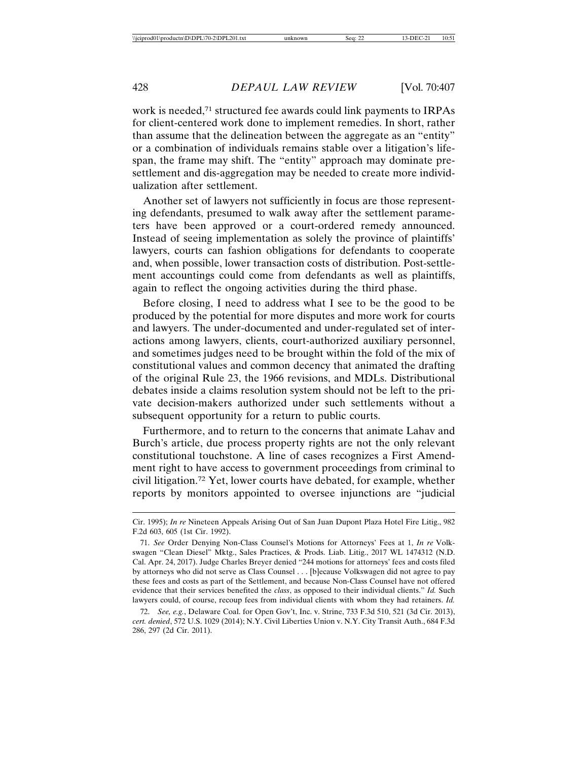work is needed,<sup>71</sup> structured fee awards could link payments to IRPAs for client-centered work done to implement remedies. In short, rather than assume that the delineation between the aggregate as an "entity" or a combination of individuals remains stable over a litigation's lifespan, the frame may shift. The "entity" approach may dominate presettlement and dis-aggregation may be needed to create more individualization after settlement.

Another set of lawyers not sufficiently in focus are those representing defendants, presumed to walk away after the settlement parameters have been approved or a court-ordered remedy announced. Instead of seeing implementation as solely the province of plaintiffs' lawyers, courts can fashion obligations for defendants to cooperate and, when possible, lower transaction costs of distribution. Post-settlement accountings could come from defendants as well as plaintiffs, again to reflect the ongoing activities during the third phase.

Before closing, I need to address what I see to be the good to be produced by the potential for more disputes and more work for courts and lawyers. The under-documented and under-regulated set of interactions among lawyers, clients, court-authorized auxiliary personnel, and sometimes judges need to be brought within the fold of the mix of constitutional values and common decency that animated the drafting of the original Rule 23, the 1966 revisions, and MDLs. Distributional debates inside a claims resolution system should not be left to the private decision-makers authorized under such settlements without a subsequent opportunity for a return to public courts.

Furthermore, and to return to the concerns that animate Lahav and Burch's article, due process property rights are not the only relevant constitutional touchstone. A line of cases recognizes a First Amendment right to have access to government proceedings from criminal to civil litigation.72 Yet, lower courts have debated, for example, whether reports by monitors appointed to oversee injunctions are "judicial

Cir. 1995); *In re* Nineteen Appeals Arising Out of San Juan Dupont Plaza Hotel Fire Litig., 982 F.2d 603, 605 (1st Cir. 1992).

<sup>71.</sup> *See* Order Denying Non-Class Counsel's Motions for Attorneys' Fees at 1, *In re* Volkswagen "Clean Diesel" Mktg., Sales Practices, & Prods. Liab. Litig., 2017 WL 1474312 (N.D. Cal. Apr. 24, 2017). Judge Charles Breyer denied "244 motions for attorneys' fees and costs filed by attorneys who did not serve as Class Counsel . . . [b]ecause Volkswagen did not agree to pay these fees and costs as part of the Settlement, and because Non-Class Counsel have not offered evidence that their services benefited the *class*, as opposed to their individual clients." *Id.* Such lawyers could, of course, recoup fees from individual clients with whom they had retainers. *Id.*

<sup>72.</sup> *See, e.g.*, Delaware Coal. for Open Gov't, Inc. v. Strine, 733 F.3d 510, 521 (3d Cir. 2013), *cert. denied*, 572 U.S. 1029 (2014); N.Y. Civil Liberties Union v. N.Y. City Transit Auth., 684 F.3d 286, 297 (2d Cir. 2011).